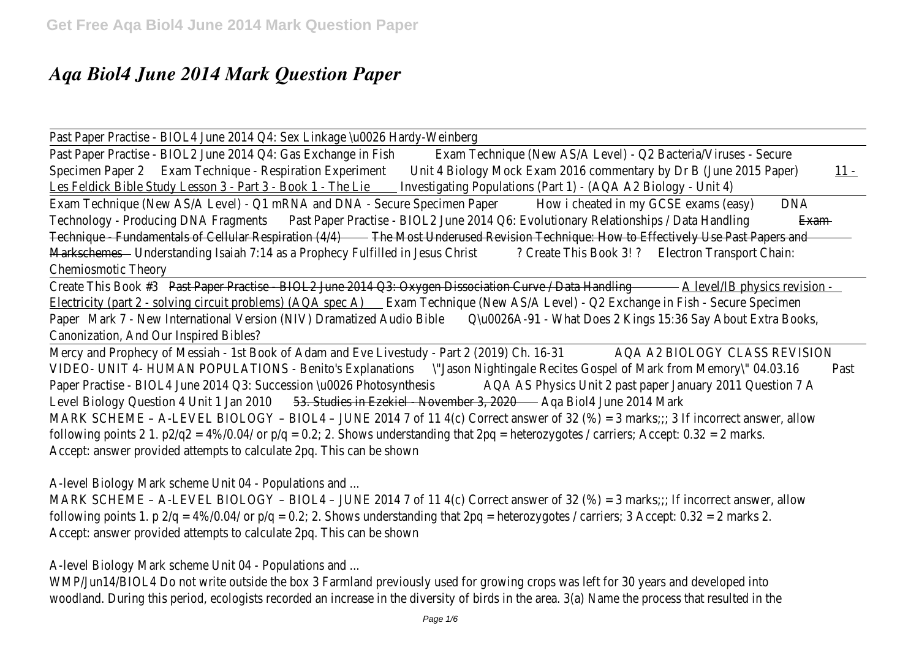## *Aqa Biol4 June 2014 Mark Question Paper*

Past Paper Practise - BIOL4 June 2014 Q4: Sex Linkage \u0026 Hardy

Past Paper Practise - BIOL2 June 2014 Q Exans Exchangue (MeishAS/A Level) - Q2 Bacteria/Virus Specimen Pabean 2 Technique - Respiration Experiment Unit Exam 2016 commentary by Dr B (June 2016 Paper) 11 - Baptistic 4 - Baptistic 4 - Baptistic 4 - Baptistic 4 - Baptistic 4 - Baptistic 4 - Baptistic 4 - Baptistic 4 - Les Feldick Bible Study Lesson 3 - Part nives Bigating - Populations (Part 1) - (AQA A2 Biology -

Exam Technique (New AS/A Level) - Q1 mRNA and DNAHovSeicahe Streekimen Pa OSE DNA ms (easy) Technology - Producing DNA a Fragment Bractise - BIOL2 June 2014 Q6: Evolutionary Example tionship Technique - Fundamentals of Cellula Fhee Most Underused Revision Technique: How to Effectively Markschebrederstanding Isaiah 7:14 as a Prophecy Ful Cheater DeisuBe Charleston Transport Chaines Chemiosmotic Theo

Create This Breakt #3 per Practise - BIOL2 June 2014 Q3: Oxygen Dissociation B physics Drata Sita Electricity (part 2 - solving circuit problems) e (ADA spec New AS/A Level) - Q2 Exchange in Fish -Paper Mark 7 - New International Version (NIV) Dramatized Audio Bible Does 2 Kings 15:36 Say About Extra Books, Canonization, And Our Inspired Bib

Mercy and Prophecy of Messiah - 1st Book of Adam and Eve LA@AtA@yBIOR@DCY@DASSREVIS VIDEO- UNIT 4- HUMAN POPULATIONS - Benitas in Antian Highting Recites Gospel of Mark fram Mem Paper Practise - BIOL4 June 2014 Q3: Succession Question Physics Apyththesist paper January 2011 Level Biology Question 4 Unit 1 Stundies in Dezekiel - November 3, 20020 2014 M MARK SCHEME – A-LEVEL BIOLOGY – BIOL4 – JUNE 2014 7 of 11  $4(c)$  Correct answer of 32 (%) following points 2 1. p2/q2 =  $4\%/0.04/$  or p/q = 0.2; 2. Shows understanding that 2pq = hete Accept: answer provided attempts to calculate 2pq. This can be

A-level Biology Mark scheme Unit 04 - Populations

MARK SCHEME – A-LEVEL BIOLOGY – BIOL4 – JUNE 2014 7 of 11  $4(c)$  Correct answer of 32 (%) following points 1. p  $2/q = 4\%/0.04/$  or  $p/q = 0.2/2$ . Shows understanding that  $2pq =$  heteroz Accept: answer provided attempts to calculate 2pq. This can b

A-level Biology Mark scheme Unit 04 - Populations

WMP/Jun14/BIOL4 Do not write outside the box 3 Farmland previously used for growing crops woodland. During this period, ecologists recorded an increase in the diversity of birds in the are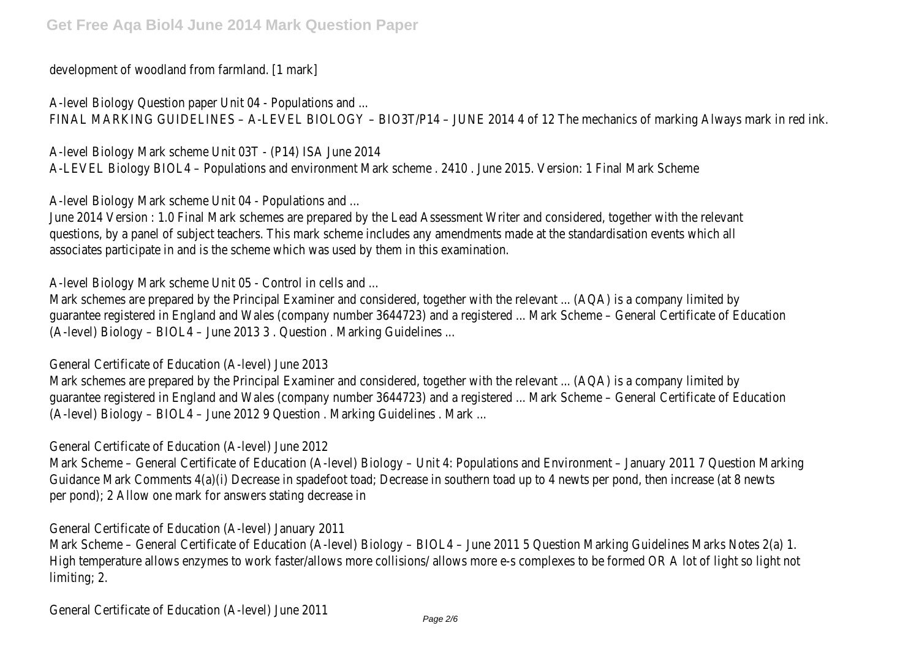development of woodland from farmland. [1]

A-level Biology Question paper Unit 04 - Populations FINAL MARKING GUIDELINES – A-LEVEL BIOLOGY – BIO3T/P14 – JUNE 2014 4 of 12 The mechani

A-level Biology Mark scheme Unit O3T - (P14) ISA Jun A-LEVEL Biology BIOL4 – Populations and environment Mark scheme . 2410 . June 2015. Versior

A-level Biology Mark scheme Unit 04 - Populations

June 2014 Version : 1.0 Final Mark schemes are prepared by the Lead Assessment Writer and c questions, by a panel of subject teachers. This mark scheme includes any amendments made at associates participate in and is the scheme which was used by them in this ex

A-level Biology Mark scheme Unit 05 - Control in cells

Mark schemes are prepared by the Principal Examiner and considered, together with the relevar guarantee registered in England and Wales (company number 3644723) and a registered ... Mark  $(A$ -level) Biology – BIOL4 – June 2013 3, Question, Marking Guidelines ...

General Certificate of Education (A-level) June

Mark schemes are prepared by the Principal Examiner and considered, together with the relevar guarantee registered in England and Wales (company number 3644723) and a registered ... Mark (A-level) Biology – BIOL4 – June 2012 9 Question . Marking Guidelines

General Certificate of Education (A-level) June

Mark Scheme – General Certificate of Education (A-level) Biology – Unit 4: Populations and Envir Guidance Mark Comments 4(a)(i) Decrease in spadefoot toad; Decrease in southern toad up to per pond); 2 Allow one mark for answers stating decrease

General Certificate of Education (A-level) January

Mark Scheme – General Certificate of Education (A-level) Biology – BIOL4 – June 2011 5 Question High temperature allows enzymes to work faster/allows more collisions/ allows more e-s comp limiting; 2

General Certificate of Education (A-level)  $\frac{1}{Page 2/6}$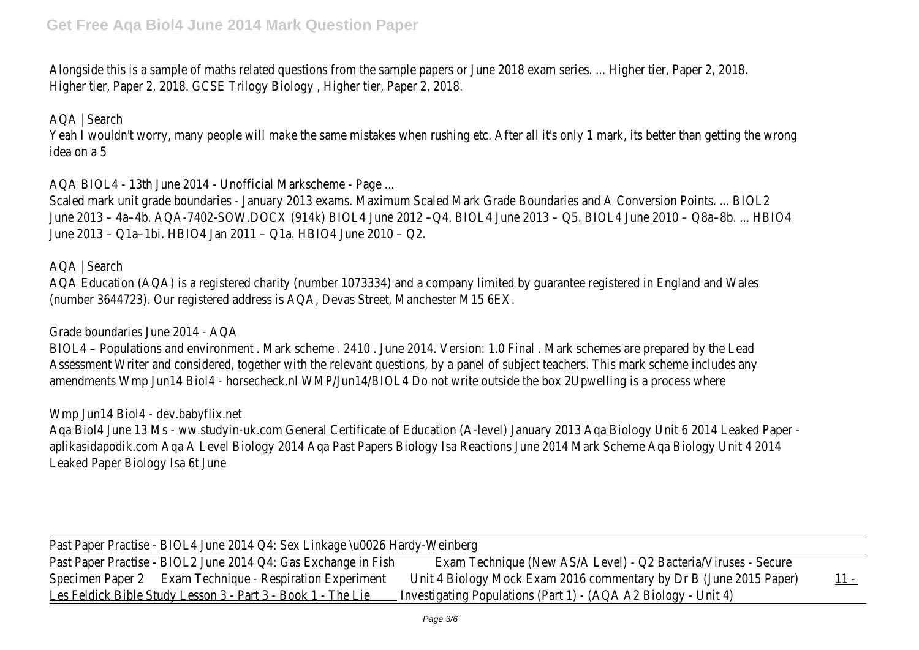Alongside this is a sample of maths related questions from the sample papers or June 2018 examents. Higher tier, Paper 2, 2018. GCSE Trilogy Biology, Higher tier, Paper

AQA | Search Yeah I wouldn't worry, many people will make the same mistakes when rushing etc. After all it's idea on a

AQA BIOL4  $-$  13th June 2014  $-$  Unofficial Markscheme  $-$ 

Scaled mark unit grade boundaries - January 2013 exams. Maximum Scaled Mark Grade Boundar June 2013 – 4a–4b. AQA-7402-SOW.DOCX (914k) BIOL4 June 2012 –Q4. BIOL4 June 2013 – Q June 2013 – Q1a-1bi. HBIO4 Jan 2011 – Q1a. HBIO4 June 20

AQA | Searcl

AQA Education (AQA) is a registered charity (number 1073334) and a company limited by guara (number 3644723). Our registered address is AQA, Devas Street, Manchester

## Grade boundaries June 2014 -

BIOL4 – Populations and environment . Mark scheme . 2410 . June 2014. Version: 1.0 Final . Ma Assessment Writer and considered, together with the relevant questions, by a panel of subject amendments Wmp Jun14 Biol4 - horsecheck.nl WMP/Jun14/BIOL4 Do not write outside the bo

Wmp Jun14 Biol4 - dev.babyflix

Aqa Biol4 June 13 Ms - ww.studyin-uk.com General Certificate of Education (A-level) January 20 aplikasidapodik.com Aqa A Level Biology 2014 Aqa Past Papers Biology Isa Reactions June 2014 Leaked Paper Biology Isa 6t J

Past Paper Practise - BIOL4 June 2014 Q4: Sex Linkage \u0026 Hardy-Past Paper Practise - BIOL2 June 2014 Q Exans Exchangue (MeishAS/A Level) - Q2 Bacteria/Virus Specimen Papean 2 Technique - Respiration Experiment Unit Exam 2016 commentary by Dr B (June 2016 Paper) 11 - Baptistic 4 Band 2016 Commentary 11 - Band 2016 Paper Les Feldick Bible Study Lesson 3 - Part nives Bigating - Populations (Part 1) - (AQA A2 Biology -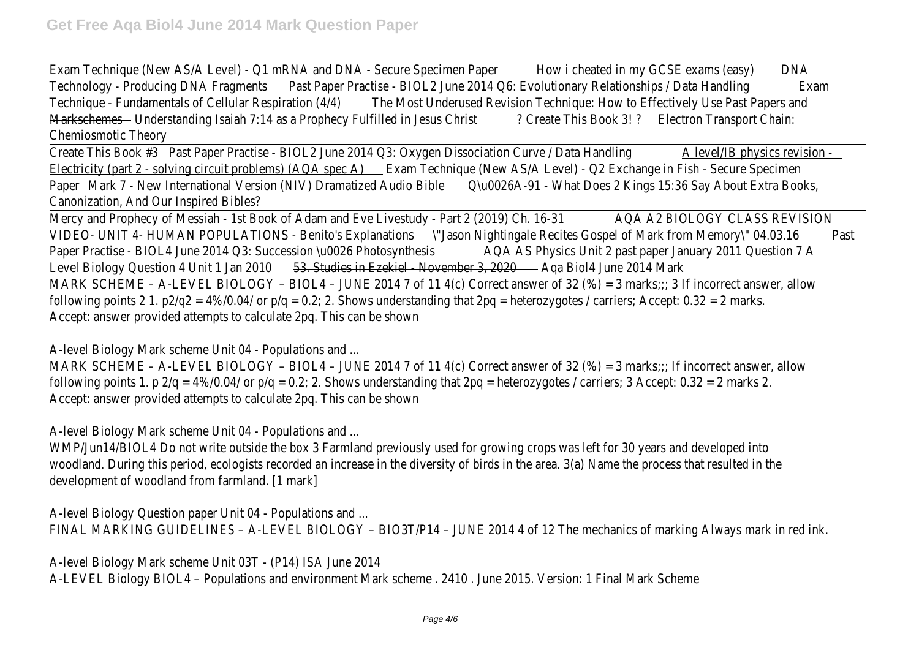Exam Technique (New AS/A Level) - Q1 mRNA and DNAHovGeicahe Streekimen PaCSE DNA ms (easy) Technology - Producing DNA a Fragment Bractise - BIOL2 June 2014 Q6: Evolutionary Example tionship Technique - Fundamentals of Cellula Fhee Most Underused Revision Technique: How to Effectively Markschebhederstanding Isaiah 7:14 as a Prophecy FullCheaten DeisuBotot Chains Transport Chains ? Chemiosmotic Theor

Create This Beast #3 aper Practise - BIOL2 June 2014 Q3: Oxygen Dissociation BC physics Drata Hida Electricity (part 2 - solving circuit produtems) e choise e che AS/A Level) - Q2 Exchange in Fish -PapeMark 7 - New International Version (NIV) Dramatized Audio Bible Does 2 Kings 15:36 Say Ab Canonization, And Our Inspired Bib

Mercy and Prophecy of Messiah - 1st Book of Adam and Eve LA@AtA@yBIOR@DCY@DASSREVIS VIDEO- UNIT 4- HUMAN POPULATIONS - Benitason Explanations Recites Gospel of Mark from Mem Paper Practise - BIOL4 June 2014 Q3: Succession Chu00 Physics Apyththesist paper January 2011 Level Biology Question 4 Un<del>is 15 Jan 1 20 IrO Ezekiel - Nove mater 3</del> 1 2014 Mark MARK SCHEME – A-LEVEL BIOLOGY – BIOL4 – JUNE 2014 7 of 11  $4(c)$  Correct answer of 32 (%) following points 2 1. p2/q2 =  $4\%/0.04/$  or p/q = 0.2; 2. Shows understanding that 2pq = hete Accept: answer provided attempts to calculate 2pq. This can b

A-level Biology Mark scheme Unit 04 - Populations

MARK SCHEME – A-LEVEL BIOLOGY – BIOL4 – JUNE 2014 7 of 11  $4$  (c) Correct answer of 32 (%) following points 1. p  $2/q = 4\%/0.04/$  or  $p/q = 0.2/2$ . Shows understanding that  $2pq =$  heteroz Accept: answer provided attempts to calculate 2pq. This can be

A-level Biology Mark scheme Unit 04 - Populations

WMP/Jun14/BIOL4 Do not write outside the box 3 Farmland previously used for growing crops woodland. During this period, ecologists recorded an increase in the diversity of birds in the are development of woodland from farmland. [1

A-level Biology Question paper Unit 04 - Populations FINAL MARKING GUIDELINES – A-LEVEL BIOLOGY – BIO3T/P14 – JUNE 2014 4 of 12 The mechani

A-level Biology Mark scheme Unit 03T - (P14) ISA June A-LEVEL Biology BIOL4 – Populations and environment Mark scheme . 2410 . June 2015. Versior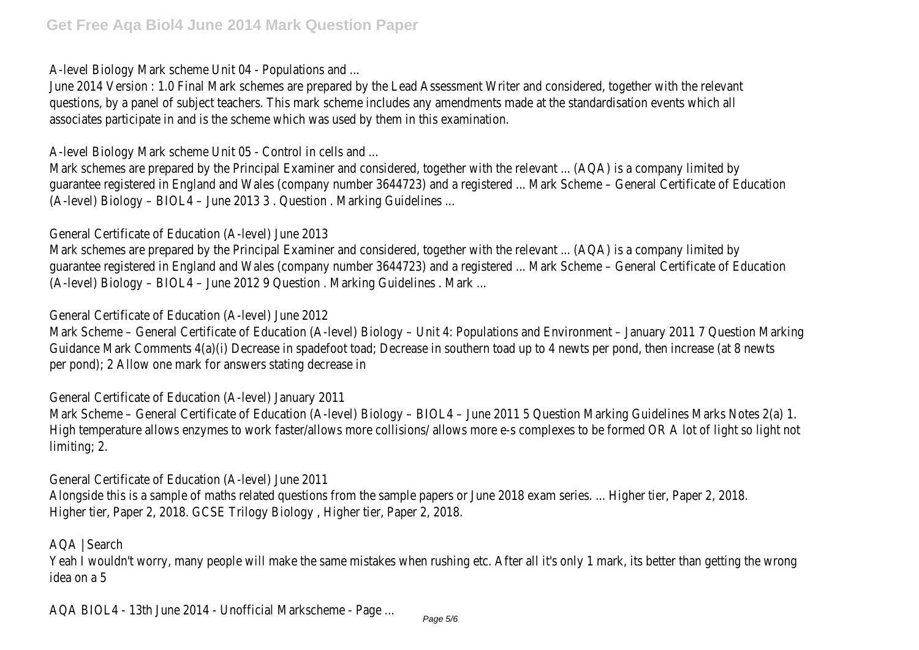A-level Biology Mark scheme Unit 04 - Populations

June 2014 Version : 1.0 Final Mark schemes are prepared by the Lead Assessment Writer and c questions, by a panel of subject teachers. This mark scheme includes any amendments made at associates participate in and is the scheme which was used by them in this examples

A-level Biology Mark scheme Unit 05 - Control in cells

Mark schemes are prepared by the Principal Examiner and considered, together with the relevar guarantee registered in England and Wales (company number 3644723) and a registered ... Mark  $(A$ -level) Biology – BIOL4 – June 2013 3, Question, Marking Guidelines ...

General Certificate of Education (A-level) June

Mark schemes are prepared by the Principal Examiner and considered, together with the relevare guarantee registered in England and Wales (company number 3644723) and a registered ... Mark (A-level) Biology – BIOL4 – June 2012 9 Question . Marking Guidelines

General Certificate of Education (A-level) June

Mark Scheme – General Certificate of Education (A-level) Biology – Unit 4: Populations and Envir Guidance Mark Comments 4(a)(i) Decrease in spadefoot toad; Decrease in southern toad up to per pond); 2 Allow one mark for answers stating decrease

General Certificate of Education (A-level) January

Mark Scheme - General Certificate of Education (A-level) Biology - BIOL4 - June 2011 5 Question High temperature allows enzymes to work faster/allows more collisions/ allows more e-s comp limiting; 2

General Certificate of Education (A-level) June

Alongside this is a sample of maths related questions from the sample papers or June 2018 examents. Higher tier, Paper 2, 2018. GCSE Trilogy Biology, Higher tier, Paper

AQA | Search Yeah I wouldn't worry, many people will make the same mistakes when rushing etc. After all it's idea on a!

AQA BIOL4 - 13th June 2014 - Unofficial Markscheme -